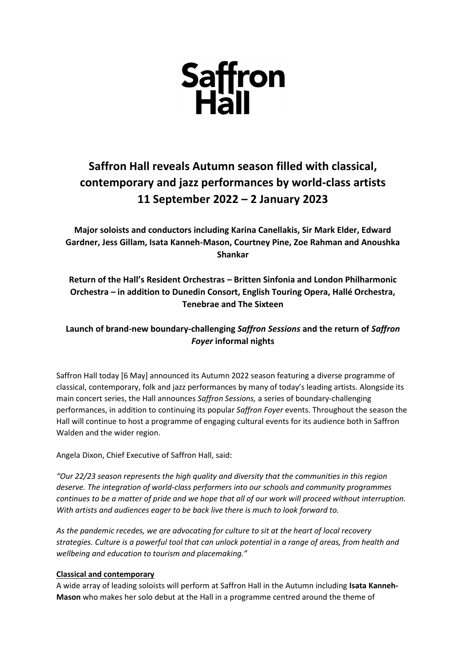

# **Saffron Hall reveals Autumn season filled with classical, contemporary and jazz performances by world-class artists 11 September 2022 – 2 January 2023**

**Major soloists and conductors including Karina Canellakis, Sir Mark Elder, Edward Gardner, Jess Gillam, Isata Kanneh-Mason, Courtney Pine, Zoe Rahman and Anoushka Shankar**

# **Return of the Hall's Resident Orchestras – Britten Sinfonia and London Philharmonic Orchestra – in addition to Dunedin Consort, English Touring Opera, Hallé Orchestra, Tenebrae and The Sixteen**

## **Launch of brand-new boundary-challenging** *Saffron Sessions* **and the return of** *Saffron Foyer* **informal nights**

Saffron Hall today [6 May] announced its Autumn 2022 season featuring a diverse programme of classical, contemporary, folk and jazz performances by many of today's leading artists. Alongside its main concert series, the Hall announces *Saffron Sessions,* a series of boundary-challenging performances, in addition to continuing its popular *Saffron Foyer* events. Throughout the season the Hall will continue to host a programme of engaging cultural events for its audience both in Saffron Walden and the wider region.

Angela Dixon, Chief Executive of Saffron Hall, said:

*"Our 22/23 season represents the high quality and diversity that the communities in this region deserve. The integration of world-class performers into our schools and community programmes continues to be a matter of pride and we hope that all of our work will proceed without interruption. With artists and audiences eager to be back live there is much to look forward to.*

*As the pandemic recedes, we are advocating for culture to sit at the heart of local recovery strategies. Culture is a powerful tool that can unlock potential in a range of areas, from health and wellbeing and education to tourism and placemaking."*

## **Classical and contemporary**

A wide array of leading soloists will perform at Saffron Hall in the Autumn including **Isata Kanneh-Mason** who makes her solo debut at the Hall in a programme centred around the theme of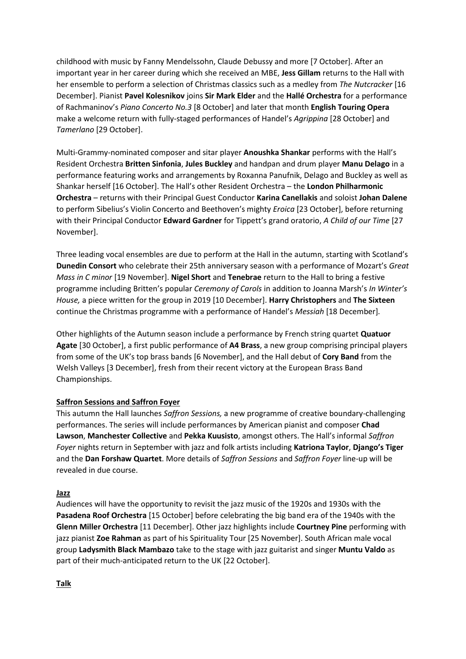childhood with music by Fanny Mendelssohn, Claude Debussy and more [7 October]. After an important year in her career during which she received an MBE, **Jess Gillam** returns to the Hall with her ensemble to perform a selection of Christmas classics such as a medley from *The Nutcracker* [16 December]. Pianist **Pavel Kolesnikov** joins **Sir Mark Elder** and the **Hallé Orchestra** for a performance of Rachmaninov's *Piano Concerto No.3* [8 October] and later that month **English Touring Opera** make a welcome return with fully-staged performances of Handel's *Agrippina* [28 October] and *Tamerlano* [29 October].

Multi-Grammy-nominated composer and sitar player **Anoushka Shankar** performs with the Hall's Resident Orchestra **Britten Sinfonia**, **Jules Buckley** and handpan and drum player **Manu Delago** in a performance featuring works and arrangements by Roxanna Panufnik, Delago and Buckley as well as Shankar herself [16 October]. The Hall's other Resident Orchestra – the **London Philharmonic Orchestra** – returns with their Principal Guest Conductor **Karina Canellakis** and soloist **Johan Dalene**  to perform Sibelius's Violin Concerto and Beethoven's mighty *Eroica* [23 October], before returning with their Principal Conductor **Edward Gardner** for Tippett's grand oratorio, *A Child of our Time* [27 November].

Three leading vocal ensembles are due to perform at the Hall in the autumn, starting with Scotland's **Dunedin Consort** who celebrate their 25th anniversary season with a performance of Mozart's *Great Mass in C minor* [19 November]. **Nigel Short** and **Tenebrae** return to the Hall to bring a festive programme including Britten's popular *Ceremony of Carols* in addition to Joanna Marsh's *In Winter's House,* a piece written for the group in 2019 [10 December]. **Harry Christophers** and **The Sixteen** continue the Christmas programme with a performance of Handel's *Messiah* [18 December]*.*

Other highlights of the Autumn season include a performance by French string quartet **Quatuor Agate** [30 October], a first public performance of **A4 Brass**, a new group comprising principal players from some of the UK's top brass bands [6 November], and the Hall debut of **Cory Band** from the Welsh Valleys [3 December], fresh from their recent victory at the European Brass Band Championships.

## **Saffron Sessions and Saffron Foyer**

This autumn the Hall launches *Saffron Sessions,* a new programme of creative boundary-challenging performances. The series will include performances by American pianist and composer **Chad Lawson**, **Manchester Collective** and **Pekka Kuusisto**, amongst others. The Hall's informal *Saffron Foyer* nights return in September with jazz and folk artists including **Katriona Taylor**, **Django's Tiger**  and the **Dan Forshaw Quartet**. More details of *Saffron Sessions* and *Saffron Foyer* line-up will be revealed in due course.

#### **Jazz**

Audiences will have the opportunity to revisit the jazz music of the 1920s and 1930s with the **Pasadena Roof Orchestra** [15 October] before celebrating the big band era of the 1940s with the **Glenn Miller Orchestra** [11 December]. Other jazz highlights include **Courtney Pine** performing with jazz pianist **Zoe Rahman** as part of his Spirituality Tour [25 November]. South African male vocal group **Ladysmith Black Mambazo** take to the stage with jazz guitarist and singer **Muntu Valdo** as part of their much-anticipated return to the UK [22 October].

**Talk**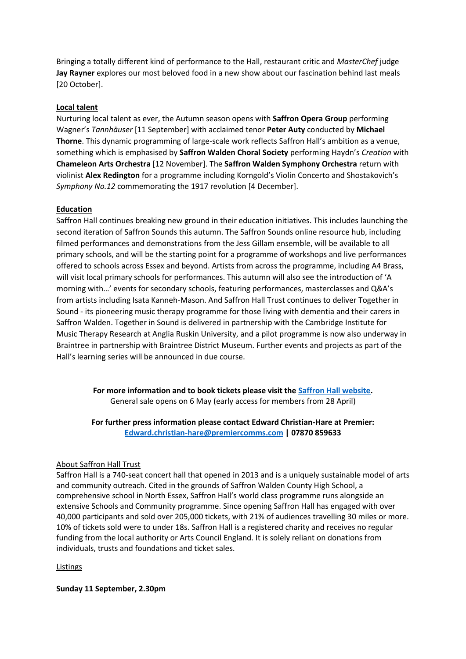Bringing a totally different kind of performance to the Hall, restaurant critic and *MasterChef* judge **Jay Rayner** explores our most beloved food in a new show about our fascination behind last meals [20 October].

#### **Local talent**

Nurturing local talent as ever, the Autumn season opens with **Saffron Opera Group** performing Wagner's *Tannhäuser* [11 September] with acclaimed tenor **Peter Auty** conducted by **Michael Thorne**. This dynamic programming of large-scale work reflects Saffron Hall's ambition as a venue, something which is emphasised by **Saffron Walden Choral Society** performing Haydn's *Creation* with **Chameleon Arts Orchestra** [12 November]. The **Saffron Walden Symphony Orchestra** return with violinist **Alex Redington** for a programme including Korngold's Violin Concerto and Shostakovich's *Symphony No.12* commemorating the 1917 revolution [4 December].

#### **Education**

Saffron Hall continues breaking new ground in their education initiatives. This includes launching the second iteration of Saffron Sounds this autumn. The Saffron Sounds online resource hub, including filmed performances and demonstrations from the Jess Gillam ensemble, will be available to all primary schools, and will be the starting point for a programme of workshops and live performances offered to schools across Essex and beyond. Artists from across the programme, including A4 Brass, will visit local primary schools for performances. This autumn will also see the introduction of 'A morning with…' events for secondary schools, featuring performances, masterclasses and Q&A's from artists including Isata Kanneh-Mason. And Saffron Hall Trust continues to deliver Together in Sound - its pioneering music therapy programme for those living with dementia and their carers in Saffron Walden. Together in Sound is delivered in partnership with the Cambridge Institute for Music Therapy Research at Anglia Ruskin University, and a pilot programme is now also underway in Braintree in partnership with Braintree District Museum. Further events and projects as part of the Hall's learning series will be announced in due course.

> **For more information and to book tickets please visit the [Saffron Hall website.](https://www.saffronhall.com/)** General sale opens on 6 May (early access for members from 28 April)

> **For further press information please contact Edward Christian-Hare at Premier: [Edward.christian-hare@premiercomms.com](mailto:Edward.christian-hare@premiercomms.com) | 07870 859633**

#### About Saffron Hall Trust

Saffron Hall is a 740-seat concert hall that opened in 2013 and is a uniquely sustainable model of arts and community outreach. Cited in the grounds of Saffron Walden County High School, a comprehensive school in North Essex, Saffron Hall's world class programme runs alongside an extensive Schools and Community programme. Since opening Saffron Hall has engaged with over 40,000 participants and sold over 205,000 tickets, with 21% of audiences travelling 30 miles or more. 10% of tickets sold were to under 18s. Saffron Hall is a registered charity and receives no regular funding from the local authority or Arts Council England. It is solely reliant on donations from individuals, trusts and foundations and ticket sales.

#### Listings

**Sunday 11 September, 2.30pm**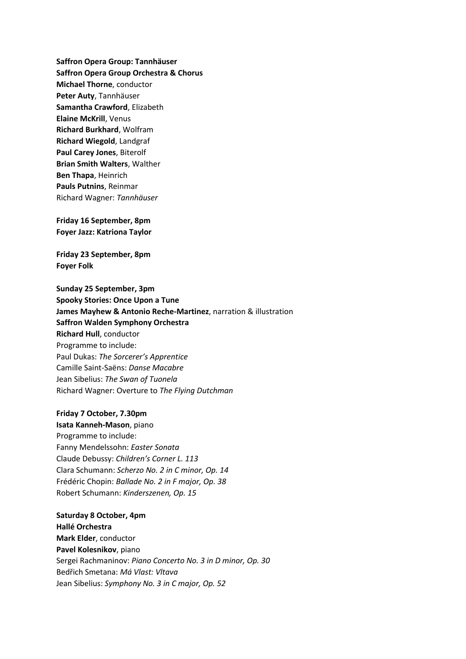**Saffron Opera Group: Tannhäuser Saffron Opera Group Orchestra & Chorus Michael Thorne**, conductor **Peter Auty**, Tannhäuser **Samantha Crawford**, Elizabeth **Elaine McKrill**, Venus **Richard Burkhard**, Wolfram **Richard Wiegold**, Landgraf **Paul Carey Jones**, Biterolf **Brian Smith Walters**, Walther **Ben Thapa**, Heinrich **Pauls Putnins**, Reinmar Richard Wagner: *Tannhäuser*

**Friday 16 September, 8pm Foyer Jazz: Katriona Taylor**

**Friday 23 September, 8pm Foyer Folk**

**Sunday 25 September, 3pm Spooky Stories: Once Upon a Tune James Mayhew & Antonio Reche-Martinez**, narration & illustration **Saffron Walden Symphony Orchestra Richard Hull**, conductor Programme to include: Paul Dukas: *The Sorcerer's Apprentice* Camille Saint-Saëns: *Danse Macabre* Jean Sibelius: *The Swan of Tuonela* Richard Wagner: Overture to *The Flying Dutchman*

**Friday 7 October, 7.30pm Isata Kanneh-Mason**, piano Programme to include: Fanny Mendelssohn: *Easter Sonata* Claude Debussy: *Children's Corner L. 113* Clara Schumann: *Scherzo No. 2 in C minor, Op. 14* Frédéric Chopin: *Ballade No. 2 in F major, Op. 38* Robert Schumann: *Kinderszenen, Op. 15*

**Saturday 8 October, 4pm Hallé Orchestra Mark Elder**, conductor **Pavel Kolesnikov**, piano Sergei Rachmaninov: *Piano Concerto No. 3 in D minor, Op. 30* Bedřich Smetana: *Má Vlast: Vltava* Jean Sibelius: *Symphony No. 3 in C major, Op. 52*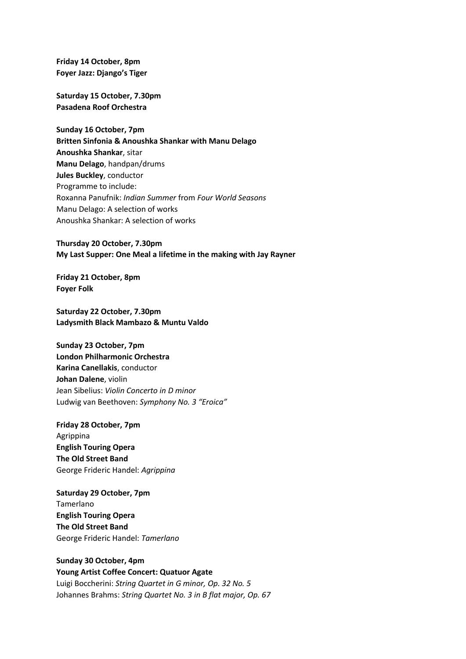**Friday 14 October, 8pm Foyer Jazz: Django's Tiger**

**Saturday 15 October, 7.30pm Pasadena Roof Orchestra**

**Sunday 16 October, 7pm Britten Sinfonia & Anoushka Shankar with Manu Delago Anoushka Shankar**, sitar **Manu Delago**, handpan/drums **Jules Buckley**, conductor Programme to include: Roxanna Panufnik: *Indian Summer* from *Four World Seasons* Manu Delago: A selection of works Anoushka Shankar: A selection of works

**Thursday 20 October, 7.30pm My Last Supper: One Meal a lifetime in the making with Jay Rayner**

**Friday 21 October, 8pm Foyer Folk**

**Saturday 22 October, 7.30pm Ladysmith Black Mambazo & Muntu Valdo**

**Sunday 23 October, 7pm London Philharmonic Orchestra Karina Canellakis**, conductor **Johan Dalene**, violin Jean Sibelius: *Violin Concerto in D minor* Ludwig van Beethoven: *Symphony No. 3 "Eroica"*

**Friday 28 October, 7pm** Agrippina **English Touring Opera The Old Street Band** George Frideric Handel: *Agrippina*

**Saturday 29 October, 7pm** Tamerlano **English Touring Opera The Old Street Band** George Frideric Handel: *Tamerlano*

**Sunday 30 October, 4pm Young Artist Coffee Concert: Quatuor Agate** Luigi Boccherini: *String Quartet in G minor, Op. 32 No. 5* Johannes Brahms: *String Quartet No. 3 in B flat major, Op. 67*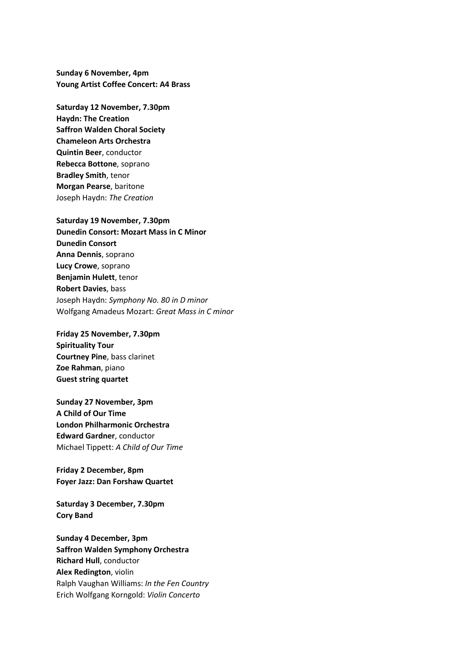**Sunday 6 November, 4pm Young Artist Coffee Concert: A4 Brass**

**Saturday 12 November, 7.30pm Haydn: The Creation Saffron Walden Choral Society Chameleon Arts Orchestra Quintin Beer**, conductor **Rebecca Bottone**, soprano **Bradley Smith**, tenor **Morgan Pearse**, baritone Joseph Haydn: *The Creation*

**Saturday 19 November, 7.30pm Dunedin Consort: Mozart Mass in C Minor Dunedin Consort Anna Dennis**, soprano **Lucy Crowe**, soprano **Benjamin Hulett**, tenor **Robert Davies**, bass Joseph Haydn: *Symphony No. 80 in D minor* Wolfgang Amadeus Mozart: *Great Mass in C minor*

**Friday 25 November, 7.30pm Spirituality Tour Courtney Pine**, bass clarinet **Zoe Rahman**, piano **Guest string quartet**

**Sunday 27 November, 3pm A Child of Our Time London Philharmonic Orchestra Edward Gardner**, conductor Michael Tippett: *A Child of Our Time*

**Friday 2 December, 8pm Foyer Jazz: Dan Forshaw Quartet**

**Saturday 3 December, 7.30pm Cory Band**

**Sunday 4 December, 3pm Saffron Walden Symphony Orchestra Richard Hull**, conductor **Alex Redington**, violin Ralph Vaughan Williams: *In the Fen Country* Erich Wolfgang Korngold: *Violin Concerto*